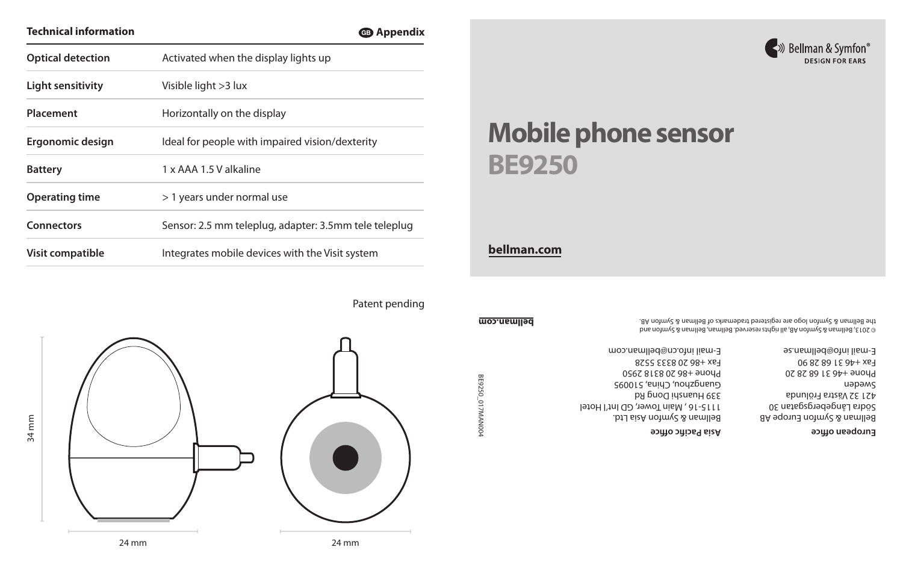| <b>Technical information</b> | <b>ම Appendix</b>                                      |
|------------------------------|--------------------------------------------------------|
| <b>Optical detection</b>     | Activated when the display lights up                   |
| Light sensitivity            | Visible light > 3 lux                                  |
| Placement                    | Horizontally on the display                            |
| Ergonomic design             | Ideal for people with impaired vision/dexterity        |
| <b>Battery</b>               | 1 x AAA 1.5 V alkaline                                 |
| <b>Operating time</b>        | > 1 years under normal use                             |
| Connectors                   | Sensor: 2.5 mm teleplug, adapter: 3.5 mm tele teleplug |
| Visit compatible             | Integrates mobile devices with the Visit system        |

Patent pending



34 mm

## **Mobile phone sensor BE9250**

## **bellman.com**

BE9250\_017MAN004

BE9250\_017MAN004

© 2013, Bellman & Symfon AB, all rights reserved. Bellman, Bellman & Symfon and BA notmyled Symmon and are reduced to symmon and the Bellman are opol notmy2 & namlled ent

> Bellman & Symfon Asia Ltd. 1115-16 , Main Tower, GD Int'l Hotel 339 Huanshi Dong Rd Guangzhou, China, 510095 Phone +86 20 8318 2950 Fax +86 20 8333 5528 E-mail info.cn@bellman.com

**Asia Pacific office**

Bellman & Symfon Europe AB Södra Långebergsgatan 30 421 32 Västra Frölunda uapawç Phone +46 31 68 28 20 Fax +46 31 68 28 90 E-mail info@bellman.se

## **European office**